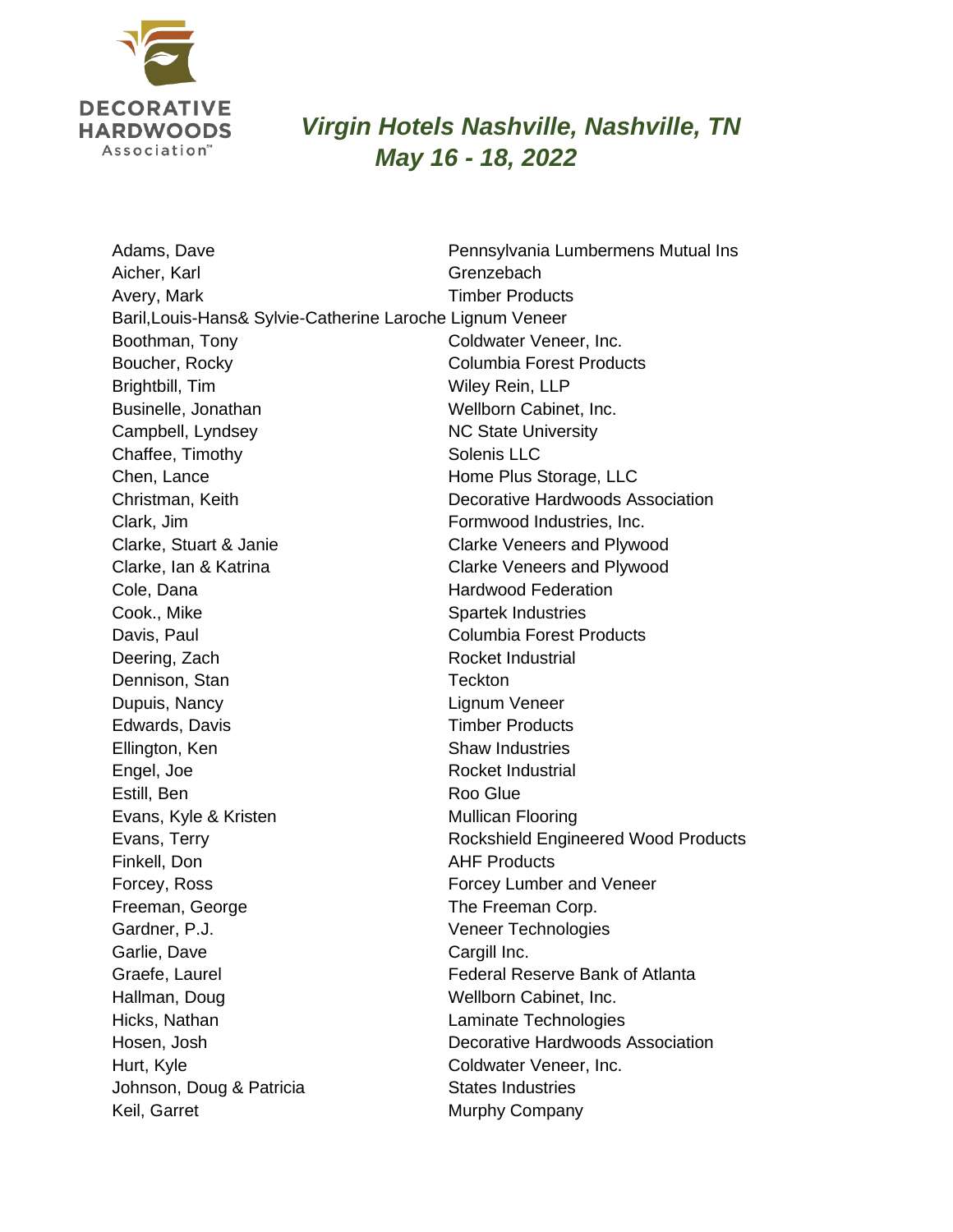

## *Virgin Hotels Nashville, Nashville, TN May 16 - 18, 2022*

Adams, Dave **Pennsylvania Lumbermens Mutual Ins** Aicher, Karl Grenzebach Avery, Mark Timber Products Baril,Louis-Hans& Sylvie-Catherine Laroche Lignum Veneer Boothman, Tony Coldwater Veneer, Inc. Boucher, Rocky **Columbia Forest Products** Brightbill, Tim Wiley Rein, LLP Businelle, Jonathan Wellborn Cabinet, Inc. Campbell, Lyndsey NC State University Chaffee, Timothy Solenis LLC Chen, Lance **Home Plus Storage, LLC** Christman, Keith Decorative Hardwoods Association Clark, Jim **Formwood Industries**, Inc. Clarke, Stuart & Janie Clarke Veneers and Plywood Clarke, Ian & Katrina Clarke Veneers and Plywood Cole, Dana **Hardwood Federation** Cook., Mike Spartek Industries Davis, Paul **Davis, Paul Columbia Forest Products** Deering, Zach Rocket Industrial Dennison, Stan Teckton Dupuis, Nancy Lignum Veneer Edwards, Davis **Timber Products** Ellington, Ken Shaw Industries Engel, Joe Rocket Industrial Estill, Ben Roo Glue Evans, Kyle & Kristen Mullican Flooring Evans, Terry **Rockshield Engineered Wood Products** Finkell, Don **AHF Products** Forcey, Ross Forcey Lumber and Veneer Freeman, George The Freeman Corp. Gardner, P.J. Veneer Technologies Garlie, Dave Cargill Inc. Graefe, Laurel Federal Reserve Bank of Atlanta Hallman, Doug Wellborn Cabinet, Inc. Hicks, Nathan Laminate Technologies Hosen, Josh Decorative Hardwoods Association Hurt, Kyle **Coldwater Veneer, Inc.** Johnson, Doug & Patricia States Industries Keil, Garret **Murphy Company**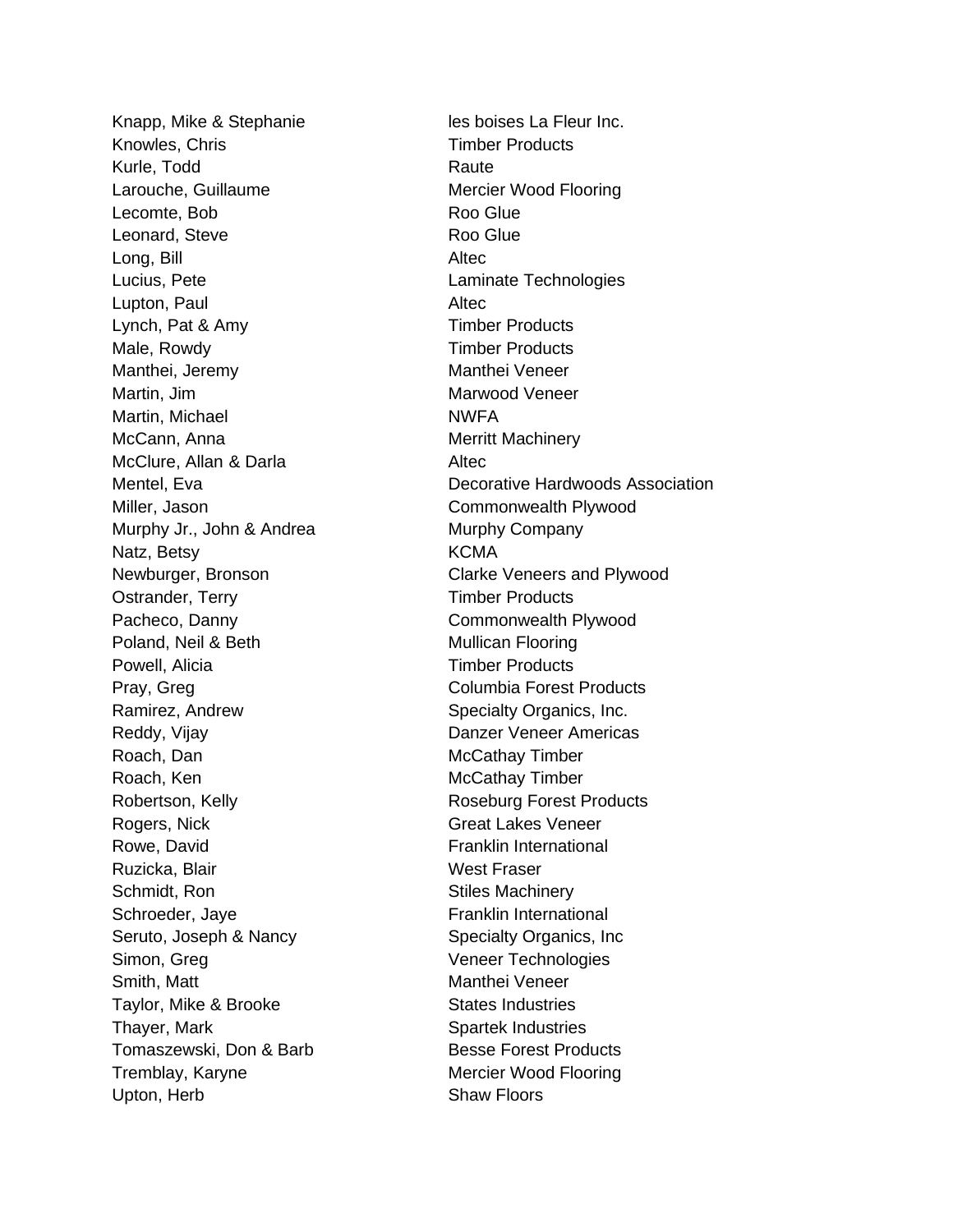Knapp, Mike & Stephanie les boises La Fleur Inc. Knowles, Chris Timber Products Kurle, Todd Raute Larouche, Guillaume Mercier Wood Flooring Lecomte, Bob Roo Glue Leonard, Steve **Roo** Glue Long, Bill Altec Lucius, Pete **Laminate Technologies** Lupton, Paul **Altec** Lynch, Pat & Amy Timber Products Male, Rowdy **Timber Products** Manthei, Jeremy **Manthei Veneer** Martin, Jim Marwood Veneer Martin, Michael NWFA McCann, Anna **Merritt Machinery** McClure, Allan & Darla **Altec** Miller, Jason Commonwealth Plywood Murphy Jr., John & Andrea Murphy Company Natz, Betsy **KCMA** Newburger, Bronson Clarke Veneers and Plywood Ostrander, Terry Timber Products Pacheco, Danny **Commonwealth Plywood** Poland, Neil & Beth Mullican Flooring Powell, Alicia **Timber Products** Pray, Greg Columbia Forest Products Ramirez, Andrew Specialty Organics, Inc. Reddy, Vijay **Danzer Veneer Americas** Roach, Dan McCathay Timber Roach, Ken McCathay Timber Robertson, Kelly **Roseburg Forest Products** Rogers, Nick Great Lakes Veneer Rowe, David **Franklin** International Ruzicka, Blair Nest Fraser Schmidt, Ron Stiles Machinery Schroeder, Jaye Franklin International Seruto, Joseph & Nancy Specialty Organics, Inc. Simon, Greg Veneer Technologies Smith, Matt Manthei Veneer Taylor, Mike & Brooke States Industries Thayer, Mark Spartek Industries Tomaszewski, Don & Barb Besse Forest Products Tremblay, Karyne **Mercier Wood Flooring** Upton, Herb Shaw Floors

Mentel, Eva Decorative Hardwoods Association